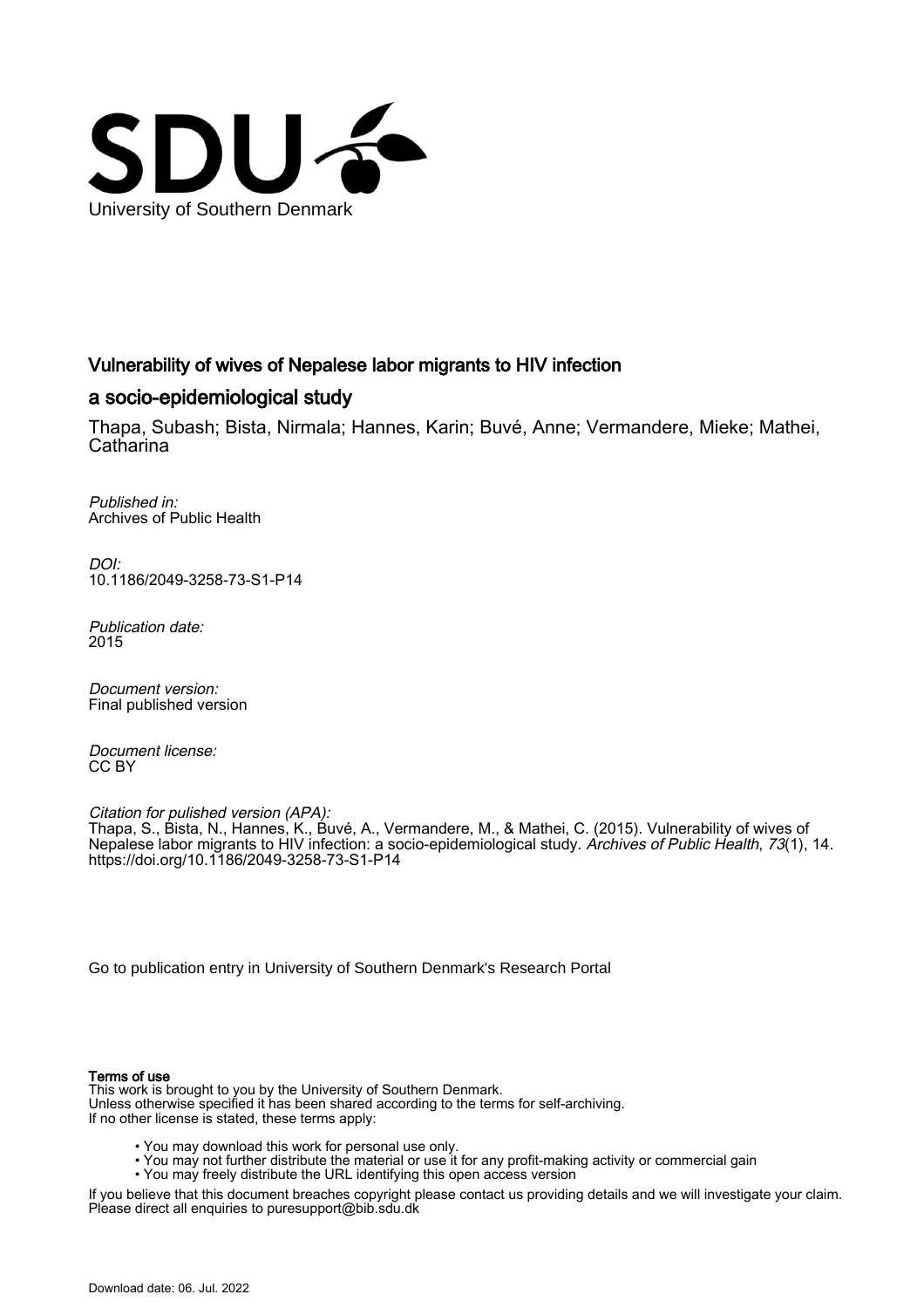

# Vulnerability of wives of Nepalese labor migrants to HIV infection

# a socio-epidemiological study

Thapa, Subash; Bista, Nirmala; Hannes, Karin; Buvé, Anne; Vermandere, Mieke; Mathei, **Catharina** 

Published in: Archives of Public Health

DOI: [10.1186/2049-3258-73-S1-P14](https://doi.org/10.1186/2049-3258-73-S1-P14)

Publication date: 2015

Document version: Final published version

Document license: CC BY

Citation for pulished version (APA): Thapa, S., Bista, N., Hannes, K., Buvé, A., Vermandere, M., & Mathei, C. (2015). Vulnerability of wives of Nepalese labor migrants to HIV infection: a socio-epidemiological study. *Archives of Public Health, 73*(1), 14. <https://doi.org/10.1186/2049-3258-73-S1-P14>

[Go to publication entry in University of Southern Denmark's Research Portal](https://portal.findresearcher.sdu.dk/en/publications/c2d7ce6a-1297-4e5e-add4-b100446c93d9)

## Terms of use

This work is brought to you by the University of Southern Denmark. Unless otherwise specified it has been shared according to the terms for self-archiving. If no other license is stated, these terms apply:

- You may download this work for personal use only.
- You may not further distribute the material or use it for any profit-making activity or commercial gain
- You may freely distribute the URL identifying this open access version

If you believe that this document breaches copyright please contact us providing details and we will investigate your claim. Please direct all enquiries to puresupport@bib.sdu.dk